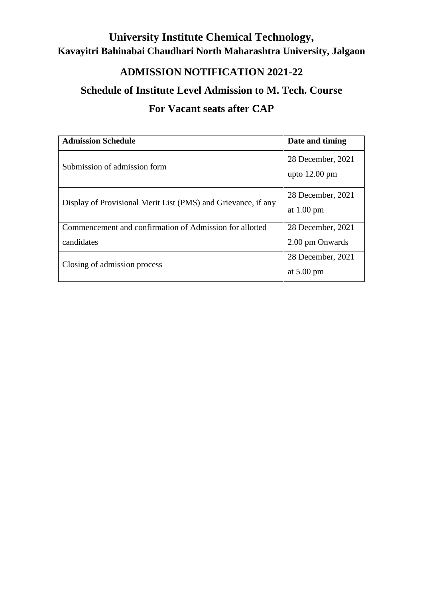## **University Institute Chemical Technology, Kavayitri Bahinabai Chaudhari North Maharashtra University, Jalgaon**

## **ADMISSION NOTIFICATION 2021-22**

### **Schedule of Institute Level Admission to M. Tech. Course**

## **For Vacant seats after CAP**

| <b>Admission Schedule</b>                                     | Date and timing                              |
|---------------------------------------------------------------|----------------------------------------------|
| Submission of admission form                                  | 28 December, 2021<br>upto $12.00 \text{ pm}$ |
| Display of Provisional Merit List (PMS) and Grievance, if any | 28 December, 2021<br>at $1.00 \text{ pm}$    |
| Commencement and confirmation of Admission for allotted       | 28 December, 2021                            |
| candidates                                                    | 2.00 pm Onwards                              |
| Closing of admission process                                  | 28 December, 2021<br>at $5.00 \text{ pm}$    |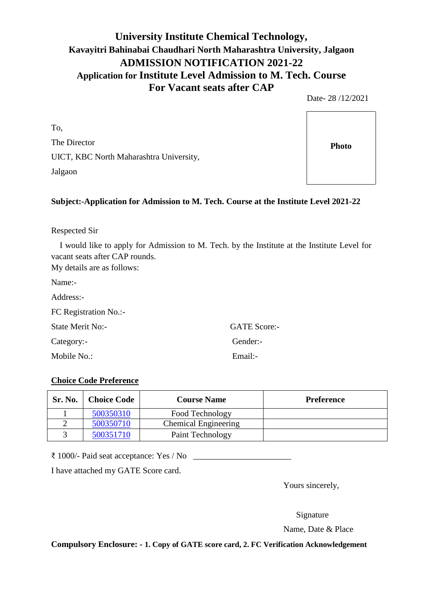#### **University Institute Chemical Technology, Kavayitri Bahinabai Chaudhari North Maharashtra University, Jalgaon ADMISSION NOTIFICATION 2021-22 Application for Institute Level Admission to M. Tech. Course For Vacant seats after CAP**

Date- 28 /12/2021

To, The Director UICT, KBC North Maharashtra University, Jalgaon

#### **Subject:-Application for Admission to M. Tech. Course at the Institute Level 2021-22**

Respected Sir

I would like to apply for Admission to M. Tech. by the Institute at the Institute Level for vacant seats after CAP rounds.

My details are as follows:

Name:-

| Address:-             |  |
|-----------------------|--|
| FC Registration No.:- |  |

State Merit No:- GATE Score:-

Category:- Gender:-

Mobile No.: Email:

#### **Choice Code Preference**

| <b>Sr. No.</b> | <b>Choice Code</b> | <b>Course Name</b>          | <b>Preference</b> |
|----------------|--------------------|-----------------------------|-------------------|
|                | 500350310          | Food Technology             |                   |
|                | 500350710          | <b>Chemical Engineering</b> |                   |
|                | 500351710          | Paint Technology            |                   |

 $\bar{\epsilon}$  1000/- Paid seat acceptance: Yes / No

I have attached my GATE Score card.

Yours sincerely,

Signature

Name, Date & Place

**Compulsory Enclosure: - 1. Copy of GATE score card, 2. FC Verification Acknowledgement**

**Photo**